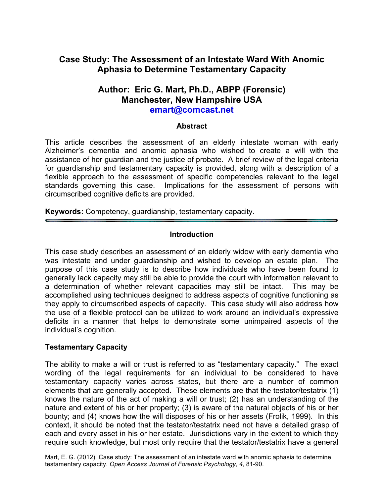# **Case Study: The Assessment of an Intestate Ward With Anomic Aphasia to Determine Testamentary Capacity**

# **Author: Eric G. Mart, Ph.D., ABPP (Forensic) Manchester, New Hampshire USA**

**emart@comcast.net**

#### **Abstract**

This article describes the assessment of an elderly intestate woman with early Alzheimer's dementia and anomic aphasia who wished to create a will with the assistance of her guardian and the justice of probate. A brief review of the legal criteria for guardianship and testamentary capacity is provided, along with a description of a flexible approach to the assessment of specific competencies relevant to the legal standards governing this case. Implications for the assessment of persons with circumscribed cognitive deficits are provided.

**Keywords:** Competency, guardianship, testamentary capacity.

#### **Introduction**

This case study describes an assessment of an elderly widow with early dementia who was intestate and under guardianship and wished to develop an estate plan. The purpose of this case study is to describe how individuals who have been found to generally lack capacity may still be able to provide the court with information relevant to a determination of whether relevant capacities may still be intact. This may be accomplished using techniques designed to address aspects of cognitive functioning as they apply to circumscribed aspects of capacity. This case study will also address how the use of a flexible protocol can be utilized to work around an individual's expressive deficits in a manner that helps to demonstrate some unimpaired aspects of the individual's cognition.

#### **Testamentary Capacity**

The ability to make a will or trust is referred to as "testamentary capacity." The exact wording of the legal requirements for an individual to be considered to have testamentary capacity varies across states, but there are a number of common elements that are generally accepted. These elements are that the testator/testatrix (1) knows the nature of the act of making a will or trust; (2) has an understanding of the nature and extent of his or her property; (3) is aware of the natural objects of his or her bounty; and (4) knows how the will disposes of his or her assets (Frolik, 1999). In this context, it should be noted that the testator/testatrix need not have a detailed grasp of each and every asset in his or her estate. Jurisdictions vary in the extent to which they require such knowledge, but most only require that the testator/testatrix have a general

Mart, E. G. (2012). Case study: The assessment of an intestate ward with anomic aphasia to determine testamentary capacity. *Open Access Journal of Forensic Psychology, 4,* 81-90.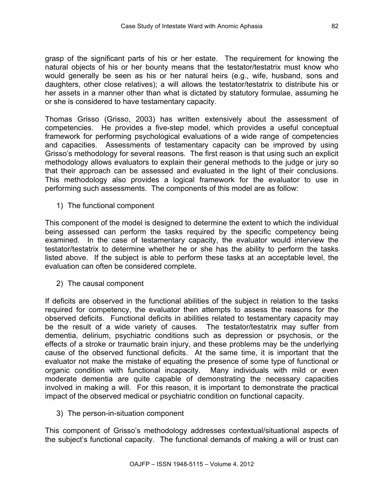grasp of the significant parts of his or her estate. The requirement for knowing the natural objects of his or her bounty means that the testator/testatrix must know who would generally be seen as his or her natural heirs (e.g., wife, husband, sons and daughters, other close relatives); a will allows the testator/testatrix to distribute his or her assets in a manner other than what is dictated by statutory formulae, assuming he or she is considered to have testamentary capacity.

Thomas Grisso (Grisso, 2003) has written extensively about the assessment of competencies. He provides a five-step model, which provides a useful conceptual framework for performing psychological evaluations of a wide range of competencies and capacities. Assessments of testamentary capacity can be improved by using Grisso's methodology for several reasons. The first reason is that using such an explicit methodology allows evaluators to explain their general methods to the judge or jury so that their approach can be assessed and evaluated in the light of their conclusions. This methodology also provides a logical framework for the evaluator to use in performing such assessments. The components of this model are as follow:

1) The functional component

This component of the model is designed to determine the extent to which the individual being assessed can perform the tasks required by the specific competency being examined. In the case of testamentary capacity, the evaluator would interview the testator/testatrix to determine whether he or she has the ability to perform the tasks listed above. If the subject is able to perform these tasks at an acceptable level, the evaluation can often be considered complete.

2) The causal component

If deficits are observed in the functional abilities of the subject in relation to the tasks required for competency, the evaluator then attempts to assess the reasons for the observed deficits. Functional deficits in abilities related to testamentary capacity may be the result of a wide variety of causes. The testator/testatrix may suffer from dementia, delirium, psychiatric conditions such as depression or psychosis, or the effects of a stroke or traumatic brain injury, and these problems may be the underlying cause of the observed functional deficits. At the same time, it is important that the evaluator not make the mistake of equating the presence of some type of functional or organic condition with functional incapacity. Many individuals with mild or even moderate dementia are quite capable of demonstrating the necessary capacities involved in making a will. For this reason, it is important to demonstrate the practical impact of the observed medical or psychiatric condition on functional capacity.

3) The person-in-situation component

This component of Grisso's methodology addresses contextual/situational aspects of the subject's functional capacity. The functional demands of making a will or trust can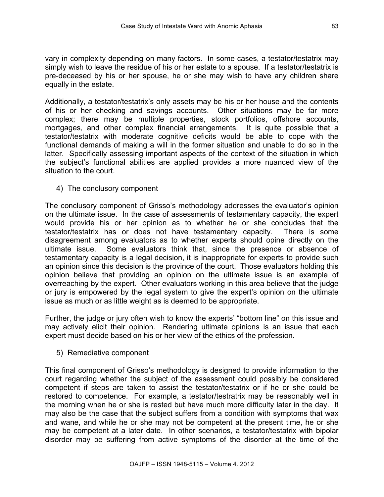vary in complexity depending on many factors. In some cases, a testator/testatrix may simply wish to leave the residue of his or her estate to a spouse. If a testator/testatrix is pre-deceased by his or her spouse, he or she may wish to have any children share equally in the estate.

Additionally, a testator/testatrix's only assets may be his or her house and the contents of his or her checking and savings accounts. Other situations may be far more complex; there may be multiple properties, stock portfolios, offshore accounts, mortgages, and other complex financial arrangements. It is quite possible that a testator/testatrix with moderate cognitive deficits would be able to cope with the functional demands of making a will in the former situation and unable to do so in the latter. Specifically assessing important aspects of the context of the situation in which the subject's functional abilities are applied provides a more nuanced view of the situation to the court.

4) The conclusory component

The conclusory component of Grisso's methodology addresses the evaluator's opinion on the ultimate issue. In the case of assessments of testamentary capacity, the expert would provide his or her opinion as to whether he or she concludes that the testator/testatrix has or does not have testamentary capacity. There is some disagreement among evaluators as to whether experts should opine directly on the ultimate issue. Some evaluators think that, since the presence or absence of testamentary capacity is a legal decision, it is inappropriate for experts to provide such an opinion since this decision is the province of the court. Those evaluators holding this opinion believe that providing an opinion on the ultimate issue is an example of overreaching by the expert. Other evaluators working in this area believe that the judge or jury is empowered by the legal system to give the expert's opinion on the ultimate issue as much or as little weight as is deemed to be appropriate.

Further, the judge or jury often wish to know the experts' "bottom line" on this issue and may actively elicit their opinion. Rendering ultimate opinions is an issue that each expert must decide based on his or her view of the ethics of the profession.

5) Remediative component

This final component of Grisso's methodology is designed to provide information to the court regarding whether the subject of the assessment could possibly be considered competent if steps are taken to assist the testator/testatrix or if he or she could be restored to competence. For example, a testator/testratrix may be reasonably well in the morning when he or she is rested but have much more difficulty later in the day. It may also be the case that the subject suffers from a condition with symptoms that wax and wane, and while he or she may not be competent at the present time, he or she may be competent at a later date. In other scenarios, a testator/testatrix with bipolar disorder may be suffering from active symptoms of the disorder at the time of the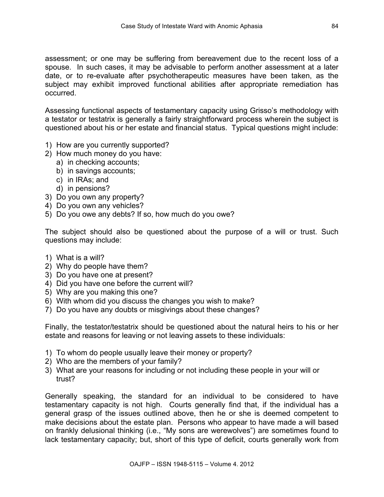assessment; or one may be suffering from bereavement due to the recent loss of a spouse. In such cases, it may be advisable to perform another assessment at a later date, or to re-evaluate after psychotherapeutic measures have been taken, as the subject may exhibit improved functional abilities after appropriate remediation has occurred.

Assessing functional aspects of testamentary capacity using Grisso's methodology with a testator or testatrix is generally a fairly straightforward process wherein the subject is questioned about his or her estate and financial status. Typical questions might include:

- 1) How are you currently supported?
- 2) How much money do you have:
	- a) in checking accounts;
	- b) in savings accounts;
	- c) in IRAs; and
	- d) in pensions?
- 3) Do you own any property?
- 4) Do you own any vehicles?
- 5) Do you owe any debts? If so, how much do you owe?

The subject should also be questioned about the purpose of a will or trust. Such questions may include:

- 1) What is a will?
- 2) Why do people have them?
- 3) Do you have one at present?
- 4) Did you have one before the current will?
- 5) Why are you making this one?
- 6) With whom did you discuss the changes you wish to make?
- 7) Do you have any doubts or misgivings about these changes?

Finally, the testator/testatrix should be questioned about the natural heirs to his or her estate and reasons for leaving or not leaving assets to these individuals:

- 1) To whom do people usually leave their money or property?
- 2) Who are the members of your family?
- 3) What are your reasons for including or not including these people in your will or trust?

Generally speaking, the standard for an individual to be considered to have testamentary capacity is not high. Courts generally find that, if the individual has a general grasp of the issues outlined above, then he or she is deemed competent to make decisions about the estate plan. Persons who appear to have made a will based on frankly delusional thinking (i.e., "My sons are werewolves") are sometimes found to lack testamentary capacity; but, short of this type of deficit, courts generally work from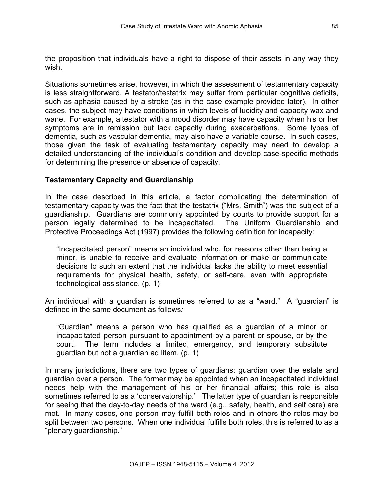the proposition that individuals have a right to dispose of their assets in any way they wish.

Situations sometimes arise, however, in which the assessment of testamentary capacity is less straightforward. A testator/testatrix may suffer from particular cognitive deficits, such as aphasia caused by a stroke (as in the case example provided later). In other cases, the subject may have conditions in which levels of lucidity and capacity wax and wane. For example, a testator with a mood disorder may have capacity when his or her symptoms are in remission but lack capacity during exacerbations. Some types of dementia, such as vascular dementia, may also have a variable course. In such cases, those given the task of evaluating testamentary capacity may need to develop a detailed understanding of the individual's condition and develop case-specific methods for determining the presence or absence of capacity.

#### **Testamentary Capacity and Guardianship**

In the case described in this article, a factor complicating the determination of testamentary capacity was the fact that the testatrix ("Mrs. Smith") was the subject of a guardianship. Guardians are commonly appointed by courts to provide support for a person legally determined to be incapacitated. The Uniform Guardianship and Protective Proceedings Act (1997) provides the following definition for incapacity:

"Incapacitated person" means an individual who, for reasons other than being a minor, is unable to receive and evaluate information or make or communicate decisions to such an extent that the individual lacks the ability to meet essential requirements for physical health, safety, or self-care, even with appropriate technological assistance. (p. 1)

An individual with a guardian is sometimes referred to as a "ward." A "guardian" is defined in the same document as follows*:* 

"Guardian" means a person who has qualified as a guardian of a minor or incapacitated person pursuant to appointment by a parent or spouse, or by the court. The term includes a limited, emergency, and temporary substitute guardian but not a guardian ad litem. (p. 1)

In many jurisdictions, there are two types of guardians: guardian over the estate and guardian over a person. The former may be appointed when an incapacitated individual needs help with the management of his or her financial affairs; this role is also sometimes referred to as a 'conservatorship.' The latter type of guardian is responsible for seeing that the day-to-day needs of the ward (e.g., safety, health, and self care) are met. In many cases, one person may fulfill both roles and in others the roles may be split between two persons. When one individual fulfills both roles, this is referred to as a "plenary guardianship."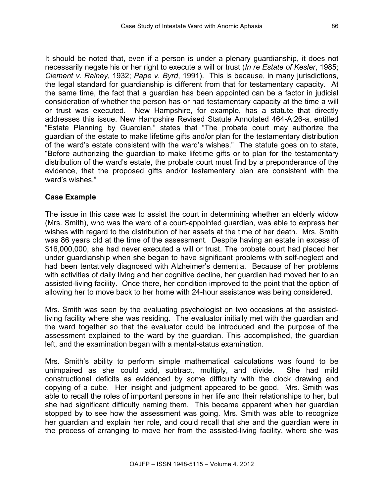It should be noted that, even if a person is under a plenary guardianship, it does not necessarily negate his or her right to execute a will or trust (*In re Estate of Kesler*, 1985; *Clement v. Rainey*, 1932; *Pape v. Byrd*, 1991). This is because, in many jurisdictions, the legal standard for guardianship is different from that for testamentary capacity. At the same time, the fact that a guardian has been appointed can be a factor in judicial consideration of whether the person has or had testamentary capacity at the time a will or trust was executed. New Hampshire, for example, has a statute that directly addresses this issue. New Hampshire Revised Statute Annotated 464-A:26-a, entitled "Estate Planning by Guardian," states that "The probate court may authorize the guardian of the estate to make lifetime gifts and/or plan for the testamentary distribution of the ward's estate consistent with the ward's wishes." The statute goes on to state, "Before authorizing the guardian to make lifetime gifts or to plan for the testamentary distribution of the ward's estate, the probate court must find by a preponderance of the evidence, that the proposed gifts and/or testamentary plan are consistent with the ward's wishes."

#### **Case Example**

The issue in this case was to assist the court in determining whether an elderly widow (Mrs. Smith), who was the ward of a court-appointed guardian, was able to express her wishes with regard to the distribution of her assets at the time of her death. Mrs. Smith was 86 years old at the time of the assessment. Despite having an estate in excess of \$16,000,000, she had never executed a will or trust. The probate court had placed her under guardianship when she began to have significant problems with self-neglect and had been tentatively diagnosed with Alzheimer's dementia. Because of her problems with activities of daily living and her cognitive decline, her guardian had moved her to an assisted-living facility. Once there, her condition improved to the point that the option of allowing her to move back to her home with 24-hour assistance was being considered.

Mrs. Smith was seen by the evaluating psychologist on two occasions at the assistedliving facility where she was residing. The evaluator initially met with the guardian and the ward together so that the evaluator could be introduced and the purpose of the assessment explained to the ward by the guardian. This accomplished, the guardian left, and the examination began with a mental-status examination.

Mrs. Smith's ability to perform simple mathematical calculations was found to be unimpaired as she could add, subtract, multiply, and divide. She had mild constructional deficits as evidenced by some difficulty with the clock drawing and copying of a cube. Her insight and judgment appeared to be good. Mrs. Smith was able to recall the roles of important persons in her life and their relationships to her, but she had significant difficulty naming them. This became apparent when her guardian stopped by to see how the assessment was going. Mrs. Smith was able to recognize her guardian and explain her role, and could recall that she and the guardian were in the process of arranging to move her from the assisted-living facility, where she was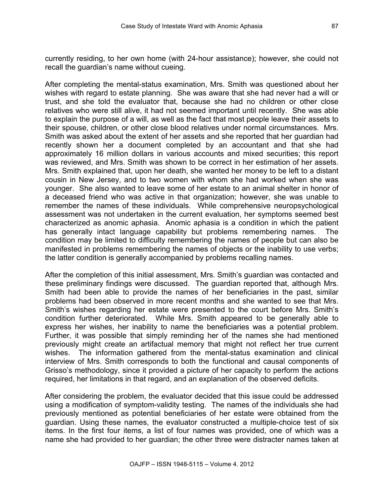After completing the mental-status examination, Mrs. Smith was questioned about her wishes with regard to estate planning. She was aware that she had never had a will or trust, and she told the evaluator that, because she had no children or other close relatives who were still alive, it had not seemed important until recently. She was able to explain the purpose of a will, as well as the fact that most people leave their assets to their spouse, children, or other close blood relatives under normal circumstances. Mrs. Smith was asked about the extent of her assets and she reported that her guardian had recently shown her a document completed by an accountant and that she had approximately 16 million dollars in various accounts and mixed securities; this report was reviewed, and Mrs. Smith was shown to be correct in her estimation of her assets. Mrs. Smith explained that, upon her death, she wanted her money to be left to a distant cousin in New Jersey, and to two women with whom she had worked when she was younger. She also wanted to leave some of her estate to an animal shelter in honor of a deceased friend who was active in that organization; however, she was unable to remember the names of these individuals. While comprehensive neuropsychological assessment was not undertaken in the current evaluation, her symptoms seemed best characterized as anomic aphasia. Anomic aphasia is a condition in which the patient has generally intact language capability but problems remembering names. The condition may be limited to difficulty remembering the names of people but can also be manifested in problems remembering the names of objects or the inability to use verbs; the latter condition is generally accompanied by problems recalling names.

After the completion of this initial assessment, Mrs. Smith's guardian was contacted and these preliminary findings were discussed. The guardian reported that, although Mrs. Smith had been able to provide the names of her beneficiaries in the past, similar problems had been observed in more recent months and she wanted to see that Mrs. Smith's wishes regarding her estate were presented to the court before Mrs. Smith's condition further deteriorated. While Mrs. Smith appeared to be generally able to express her wishes, her inability to name the beneficiaries was a potential problem. Further, it was possible that simply reminding her of the names she had mentioned previously might create an artifactual memory that might not reflect her true current wishes. The information gathered from the mental-status examination and clinical interview of Mrs. Smith corresponds to both the functional and causal components of Grisso's methodology, since it provided a picture of her capacity to perform the actions required, her limitations in that regard, and an explanation of the observed deficits.

After considering the problem, the evaluator decided that this issue could be addressed using a modification of symptom-validity testing. The names of the individuals she had previously mentioned as potential beneficiaries of her estate were obtained from the guardian. Using these names, the evaluator constructed a multiple-choice test of six items. In the first four items, a list of four names was provided, one of which was a name she had provided to her guardian; the other three were distracter names taken at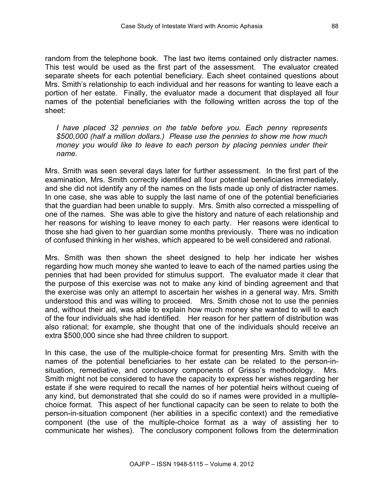random from the telephone book. The last two items contained only distracter names. This test would be used as the first part of the assessment. The evaluator created separate sheets for each potential beneficiary. Each sheet contained questions about Mrs. Smith's relationship to each individual and her reasons for wanting to leave each a portion of her estate. Finally, the evaluator made a document that displayed all four names of the potential beneficiaries with the following written across the top of the sheet:

*I have placed 32 pennies on the table before you. Each penny represents \$500,000 (half a million dollars.) Please use the pennies to show me how much money you would like to leave to each person by placing pennies under their name.* 

Mrs. Smith was seen several days later for further assessment. In the first part of the examination, Mrs. Smith correctly identified all four potential beneficiaries immediately, and she did not identify any of the names on the lists made up only of distracter names. In one case, she was able to supply the last name of one of the potential beneficiaries that the guardian had been unable to supply. Mrs. Smith also corrected a misspelling of one of the names. She was able to give the history and nature of each relationship and her reasons for wishing to leave money to each party. Her reasons were identical to those she had given to her guardian some months previously. There was no indication of confused thinking in her wishes, which appeared to be well considered and rational.

Mrs. Smith was then shown the sheet designed to help her indicate her wishes regarding how much money she wanted to leave to each of the named parties using the pennies that had been provided for stimulus support. The evaluator made it clear that the purpose of this exercise was not to make any kind of binding agreement and that the exercise was only an attempt to ascertain her wishes in a general way. Mrs. Smith understood this and was willing to proceed. Mrs. Smith chose not to use the pennies and, without their aid, was able to explain how much money she wanted to will to each of the four individuals she had identified. Her reason for her pattern of distribution was also rational; for example, she thought that one of the individuals should receive an extra \$500,000 since she had three children to support.

In this case, the use of the multiple-choice format for presenting Mrs. Smith with the names of the potential beneficiaries to her estate can be related to the person-insituation, remediative, and conclusory components of Grisso's methodology. Mrs. Smith might not be considered to have the capacity to express her wishes regarding her estate if she were required to recall the names of her potential heirs without cueing of any kind, but demonstrated that she could do so if names were provided in a multiplechoice format. This aspect of her functional capacity can be seen to relate to both the person-in-situation component (her abilities in a specific context) and the remediative component (the use of the multiple-choice format as a way of assisting her to communicate her wishes). The conclusory component follows from the determination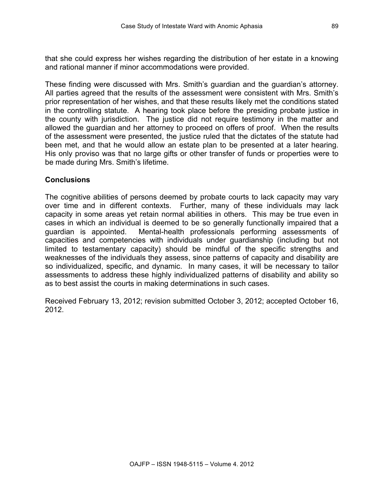that she could express her wishes regarding the distribution of her estate in a knowing and rational manner if minor accommodations were provided.

These finding were discussed with Mrs. Smith's guardian and the guardian's attorney. All parties agreed that the results of the assessment were consistent with Mrs. Smith's prior representation of her wishes, and that these results likely met the conditions stated in the controlling statute. A hearing took place before the presiding probate justice in the county with jurisdiction. The justice did not require testimony in the matter and allowed the guardian and her attorney to proceed on offers of proof. When the results of the assessment were presented, the justice ruled that the dictates of the statute had been met, and that he would allow an estate plan to be presented at a later hearing. His only proviso was that no large gifts or other transfer of funds or properties were to be made during Mrs. Smith's lifetime.

## **Conclusions**

The cognitive abilities of persons deemed by probate courts to lack capacity may vary over time and in different contexts. Further, many of these individuals may lack capacity in some areas yet retain normal abilities in others. This may be true even in cases in which an individual is deemed to be so generally functionally impaired that a guardian is appointed. Mental-health professionals performing assessments of capacities and competencies with individuals under guardianship (including but not limited to testamentary capacity) should be mindful of the specific strengths and weaknesses of the individuals they assess, since patterns of capacity and disability are so individualized, specific, and dynamic. In many cases, it will be necessary to tailor assessments to address these highly individualized patterns of disability and ability so as to best assist the courts in making determinations in such cases.

Received February 13, 2012; revision submitted October 3, 2012; accepted October 16, 2012.